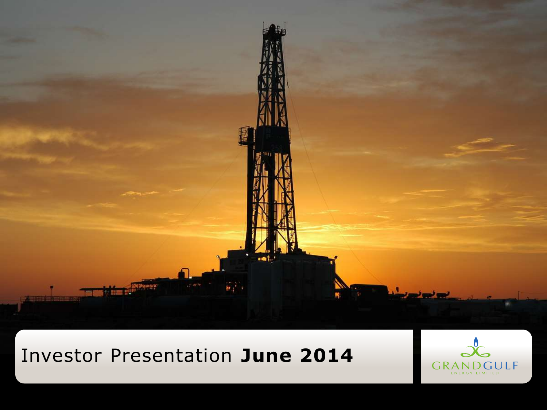

## Investor Presentation **June 2014**

Investor Presentation **April 2012**

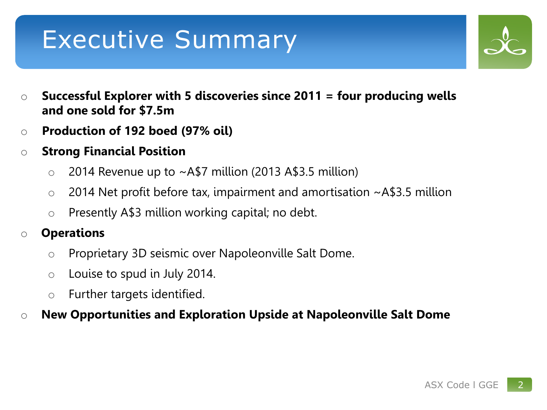# Executive Summary

- 
- o **Successful Explorer with 5 discoveries since 2011 = four producing wells and one sold for \$7.5m**
- o **Production of 192 boed (97% oil)**
- o **Strong Financial Position**
	- $\circ$  2014 Revenue up to  $\sim$  A\$7 million (2013 A\$3.5 million)
	- $\circ$  2014 Net profit before tax, impairment and amortisation  $\sim$ A\$3.5 million
	- $\circ$  Presently A\$3 million working capital; no debt.

## o **Operations**

- o Proprietary 3D seismic over Napoleonville Salt Dome.
- $\circ$  Louise to spud in July 2014.
- o Further targets identified.

### o **New Opportunities and Exploration Upside at Napoleonville Salt Dome**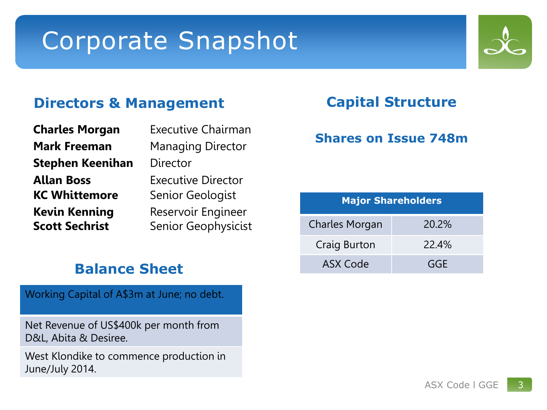# Corporate Snapshot

### **Directors & Management**

| <b>Charles Morgan</b>   | <b>Executive Chairman</b> |  |  |
|-------------------------|---------------------------|--|--|
| <b>Mark Freeman</b>     | <b>Managing Director</b>  |  |  |
| <b>Stephen Keenihan</b> | Director                  |  |  |
| <b>Allan Boss</b>       | <b>Executive Director</b> |  |  |
| <b>KC Whittemore</b>    | Senior Geologist          |  |  |
| <b>Kevin Kenning</b>    | Reservoir Engineer        |  |  |
| <b>Scott Sechrist</b>   | Senior Geophysicist       |  |  |
|                         |                           |  |  |

## **Balance Sheet**

Working Capital of A\$3m at June; no debt.

Net Revenue of US\$400k per month from D&L, Abita & Desiree.

West Klondike to commence production in June/July 2014.

### **Capital Structure**

### **Shares on Issue 748m**

| <b>Major Shareholders</b> |       |  |  |  |  |
|---------------------------|-------|--|--|--|--|
| <b>Charles Morgan</b>     | 20.2% |  |  |  |  |
| Craig Burton              | 22.4% |  |  |  |  |
| ASX Code                  | GGE   |  |  |  |  |

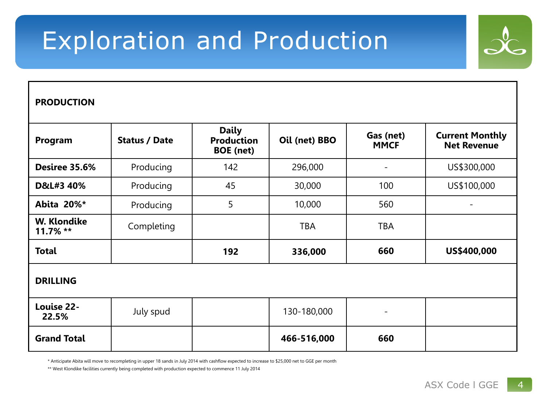# Exploration and Production



#### **PRODUCTION**

| Program                    | <b>Status / Date</b> | <b>Daily</b><br><b>Production</b><br><b>BOE</b> (net) | Oil (net) BBO | Gas (net)<br><b>MMCF</b> | <b>Current Monthly</b><br><b>Net Revenue</b> |  |  |
|----------------------------|----------------------|-------------------------------------------------------|---------------|--------------------------|----------------------------------------------|--|--|
| Desiree 35.6%              | Producing            | 142                                                   | 296,000       | ۰                        | US\$300,000                                  |  |  |
| D&L#3 40%                  | Producing            | 45                                                    | 30,000        | 100                      | US\$100,000                                  |  |  |
| Abita 20%*                 | Producing            | 5                                                     | 10,000        | 560                      |                                              |  |  |
| W. Klondike<br>$11.7\%$ ** | Completing           |                                                       | <b>TBA</b>    | <b>TBA</b>               |                                              |  |  |
| <b>Total</b>               |                      | 192                                                   | 336,000       | 660                      | US\$400,000                                  |  |  |
| <b>DRILLING</b>            |                      |                                                       |               |                          |                                              |  |  |
| Louise 22-<br>22.5%        | July spud            |                                                       | 130-180,000   | ۰                        |                                              |  |  |
| <b>Grand Total</b>         |                      |                                                       | 466-516,000   | 660                      |                                              |  |  |

\* Anticipate Abita will move to recompleting in upper 18 sands in July 2014 with cashflow expected to increase to \$25,000 net to GGE per month

\*\* West Klondike facilities currently being completed with production expected to commence 11 July 2014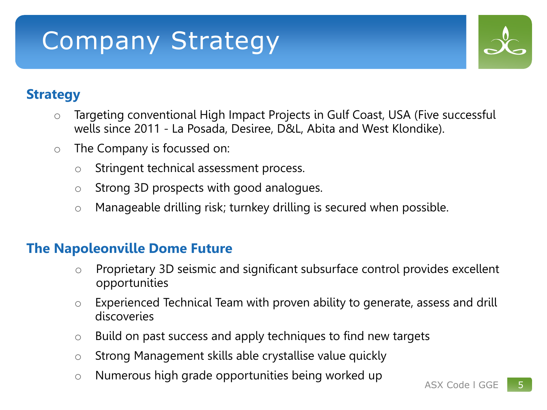# Company Strategy



## **Strategy**

- o Targeting conventional High Impact Projects in Gulf Coast, USA (Five successful wells since 2011 - La Posada, Desiree, D&L, Abita and West Klondike).
- o The Company is focussed on:
	- o Stringent technical assessment process.
	- o Strong 3D prospects with good analogues.
	- o Manageable drilling risk; turnkey drilling is secured when possible.

## **The Napoleonville Dome Future**

- o Proprietary 3D seismic and significant subsurface control provides excellent opportunities
- o Experienced Technical Team with proven ability to generate, assess and drill discoveries
- o Build on past success and apply techniques to find new targets
- o Strong Management skills able crystallise value quickly
- o Numerous high grade opportunities being worked up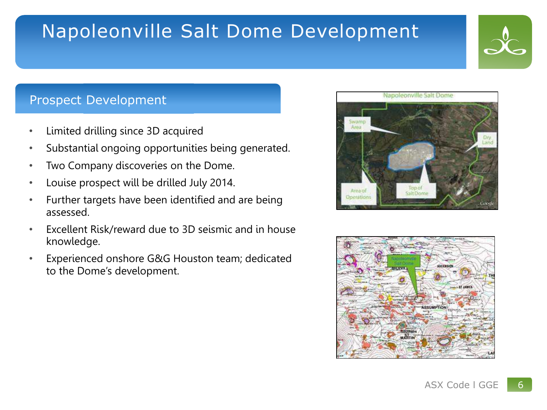## Napoleonville Salt Dome Development

### Prospect Development

- Limited drilling since 3D acquired
- Substantial ongoing opportunities being generated.
- Two Company discoveries on the Dome.
- Louise prospect will be drilled July 2014.
- Further targets have been identified and are being assessed.
- Excellent Risk/reward due to 3D seismic and in house knowledge.
- Experienced onshore G&G Houston team; dedicated to the Dome's development.





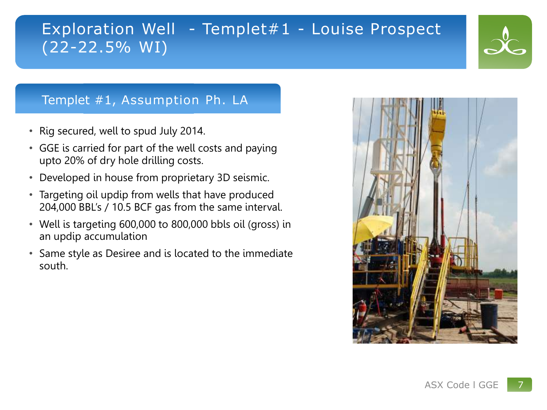## Exploration Well - Templet#1 - Louise Prospect (22-22.5% WI)

### Templet #1, Assumption Ph. LA

- Rig secured, well to spud July 2014.
- GGE is carried for part of the well costs and paying upto 20% of dry hole drilling costs.
- Developed in house from proprietary 3D seismic.
- Targeting oil updip from wells that have produced 204,000 BBL's / 10.5 BCF gas from the same interval.
- Well is targeting 600,000 to 800,000 bbls oil (gross) in an updip accumulation
- Same style as Desiree and is located to the immediate south.

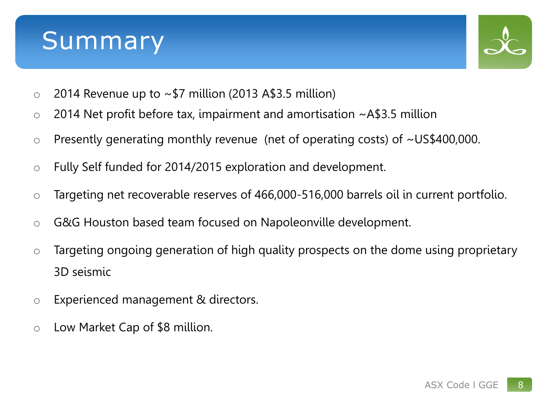## Summary



- $\circ$  2014 Revenue up to  $\sim$  \$7 million (2013 A\$3.5 million)
- $\circ$  2014 Net profit before tax, impairment and amortisation  $\sim$  A\$3.5 million
- o Presently generating monthly revenue (net of operating costs) of ~US\$400,000.
- o Fully Self funded for 2014/2015 exploration and development.
- o Targeting net recoverable reserves of 466,000-516,000 barrels oil in current portfolio.
- o G&G Houston based team focused on Napoleonville development.
- o Targeting ongoing generation of high quality prospects on the dome using proprietary 3D seismic
- o Experienced management & directors.
- o Low Market Cap of \$8 million.